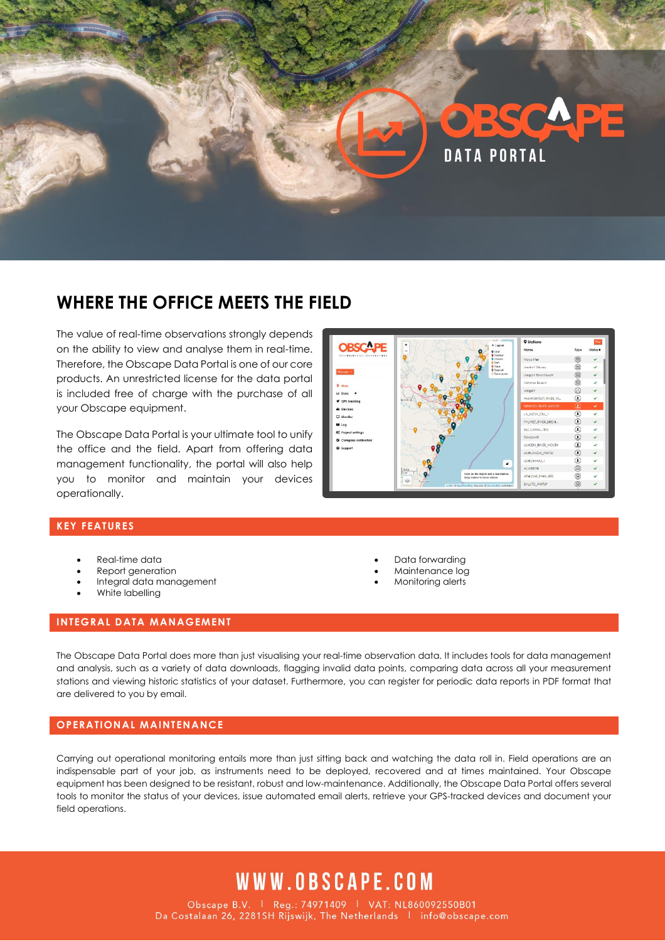

## **WHERE THE OFFICE MEETS THE FIELD**

The value of real-time observations strongly depends on the ability to view and analyse them in real-time. Therefore, the Obscape Data Portal is one of our core products. An unrestricted license for the data portal is included free of charge with the purchase of all your Obscape equipment.

The Obscape Data Portal is your ultimate tool to unify the office and the field. Apart from offering data management functionality, the portal will also help you to monitor and maintain your devices operationally.



### **KEY FEATURES**

- Real-time data
- Report generation
- Integral data management
- White labelling
- Data forwarding
- Maintenance log
- Monitoring alerts

#### **INTEGRAL DATA MANAGEMENT**

The Obscape Data Portal does more than just visualising your real-time observation data. It includes tools for data management and analysis, such as a variety of data downloads, flagging invalid data points, comparing data across all your measurement stations and viewing historic statistics of your dataset. Furthermore, you can register for periodic data reports in PDF format that are delivered to you by email.

#### **OPERATIONAL MAINTENANCE**

Carrying out operational monitoring entails more than just sitting back and watching the data roll in. Field operations are an indispensable part of your job, as instruments need to be deployed, recovered and at times maintained. Your Obscape equipment has been designed to be resistant, robust and low-maintenance. Additionally, the Obscape Data Portal offers several tools to monitor the status of your devices, issue automated email alerts, retrieve your GPS-tracked devices and document your field operations.

# WWW.OBSCAPE.COM

Obscape B.V. | Reg.: 74971409 | VAT: NL860092550B01<br>Da Costalaan 26, 2281SH Rijswijk, The Netherlands | info@obscape.com